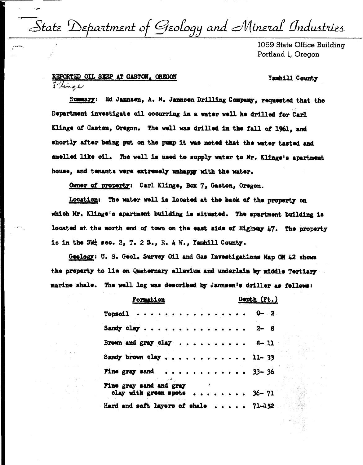State Department of Geology and Mineral Industries

1069 State Office Building Portland 1, Oregon

## REPORTED OIL SEEP AT GASTON. ORECON Hinge

## Yamhill County

Summary: Ed Jannsen, A. M. Jannsen Drilling Company, requested that the Department investigate oil occurring in a water well he drilled for Carl Klinge of Gaston, Oregon. The well was drilled in the fall of 1961, and shortly after being put on the pump it was noted that the water tasted and smelled like cil. The well is used to supply water to Mr. Klinge's apartment house, and temants were extremely unhappy with the water.

Owner of property: Carl Klinge, Box 7, Gaston, Oregon.

Location: The water well is located at the back of the property on which Mr. Klinge's apartment building is situated. The apartment building is located at the morth end of town on the east side of Highway 47. The property is in the SW<sup>1</sup> sec. 2, T. 2 S., R. 4 W., Yamhill County.

Geology: U. S. Geol. Survey Oil and Gas Investigations Map OM 42 shows the property to lie on Quaternary alluvium and underlain by middle Tertiary marine shale. The well log was described by Jannsen's driller as follows:

| <b>Formation</b>                                       | Depth (Ft.) |
|--------------------------------------------------------|-------------|
| .<br>Topsoil .                                         | $0 - 2$     |
| Sandy clay                                             | $2 - 8$     |
| Brown and gray clay $\ldots$ 8-11                      |             |
| Sandy brown clay 11-33                                 |             |
| . 33 - 36<br><b>Fine gray sand</b>                     |             |
| Fine gray sand and gray<br>clay with green spots 36-71 |             |
| Hard and soft layers of shale $\ldots$ $71-152$        |             |